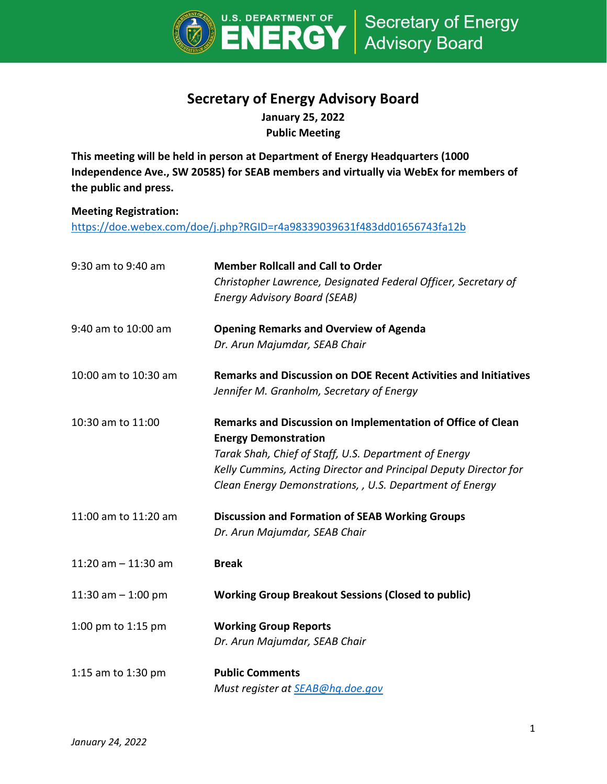

## **Secretary of Energy Advisory Board**

**January 25, 2022 Public Meeting**

**This meeting will be held in person at Department of Energy Headquarters (1000 Independence Ave., SW 20585) for SEAB members and virtually via WebEx for members of the public and press.** 

## **Meeting Registration:**

<https://doe.webex.com/doe/j.php?RGID=r4a98339039631f483dd01656743fa12b>

| 9:30 am to 9:40 am    | <b>Member Rollcall and Call to Order</b><br>Christopher Lawrence, Designated Federal Officer, Secretary of<br><b>Energy Advisory Board (SEAB)</b>                                                                                                                                   |
|-----------------------|-------------------------------------------------------------------------------------------------------------------------------------------------------------------------------------------------------------------------------------------------------------------------------------|
| 9:40 am to 10:00 am   | <b>Opening Remarks and Overview of Agenda</b><br>Dr. Arun Majumdar, SEAB Chair                                                                                                                                                                                                      |
| 10:00 am to 10:30 am  | <b>Remarks and Discussion on DOE Recent Activities and Initiatives</b><br>Jennifer M. Granholm, Secretary of Energy                                                                                                                                                                 |
| 10:30 am to 11:00     | Remarks and Discussion on Implementation of Office of Clean<br><b>Energy Demonstration</b><br>Tarak Shah, Chief of Staff, U.S. Department of Energy<br>Kelly Cummins, Acting Director and Principal Deputy Director for<br>Clean Energy Demonstrations, , U.S. Department of Energy |
| 11:00 am to 11:20 am  | <b>Discussion and Formation of SEAB Working Groups</b><br>Dr. Arun Majumdar, SEAB Chair                                                                                                                                                                                             |
| 11:20 am $-$ 11:30 am | <b>Break</b>                                                                                                                                                                                                                                                                        |
| 11:30 am $-$ 1:00 pm  | <b>Working Group Breakout Sessions (Closed to public)</b>                                                                                                                                                                                                                           |
| 1:00 pm to 1:15 pm    | <b>Working Group Reports</b><br>Dr. Arun Majumdar, SEAB Chair                                                                                                                                                                                                                       |
| 1:15 am to 1:30 pm    | <b>Public Comments</b><br>Must register at <b>SEAB@hg.doe.gov</b>                                                                                                                                                                                                                   |